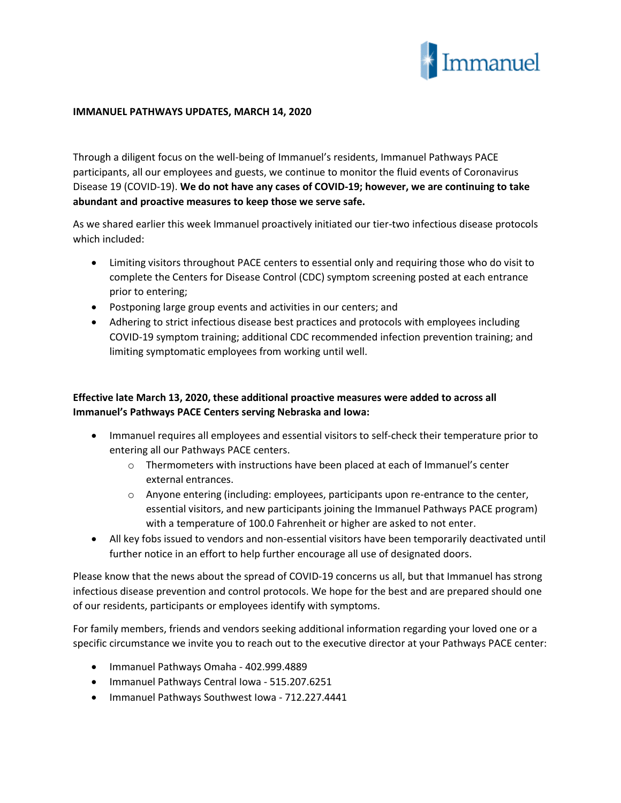

## **IMMANUEL PATHWAYS UPDATES, MARCH 14, 2020**

Through a diligent focus on the well-being of Immanuel's residents, Immanuel Pathways PACE participants, all our employees and guests, we continue to monitor the fluid events of Coronavirus Disease 19 (COVID-19). **We do not have any cases of COVID-19; however, we are continuing to take abundant and proactive measures to keep those we serve safe.**

As we shared earlier this week Immanuel proactively initiated our tier-two infectious disease protocols which included:

- Limiting visitors throughout PACE centers to essential only and requiring those who do visit to complete the Centers for Disease Control (CDC) symptom screening posted at each entrance prior to entering;
- Postponing large group events and activities in our centers; and
- Adhering to strict infectious disease best practices and protocols with employees including COVID-19 symptom training; additional CDC recommended infection prevention training; and limiting symptomatic employees from working until well.

## **Effective late March 13, 2020, these additional proactive measures were added to across all Immanuel's Pathways PACE Centers serving Nebraska and Iowa:**

- Immanuel requires all employees and essential visitors to self-check their temperature prior to entering all our Pathways PACE centers.
	- $\circ$  Thermometers with instructions have been placed at each of Immanuel's center external entrances.
	- $\circ$  Anyone entering (including: employees, participants upon re-entrance to the center, essential visitors, and new participants joining the Immanuel Pathways PACE program) with a temperature of 100.0 Fahrenheit or higher are asked to not enter.
- All key fobs issued to vendors and non-essential visitors have been temporarily deactivated until further notice in an effort to help further encourage all use of designated doors.

Please know that the news about the spread of COVID-19 concerns us all, but that Immanuel has strong infectious disease prevention and control protocols. We hope for the best and are prepared should one of our residents, participants or employees identify with symptoms.

For family members, friends and vendors seeking additional information regarding your loved one or a specific circumstance we invite you to reach out to the executive director at your Pathways PACE center:

- Immanuel Pathways Omaha 402.999.4889
- Immanuel Pathways Central Iowa 515.207.6251
- Immanuel Pathways Southwest Iowa 712.227.4441